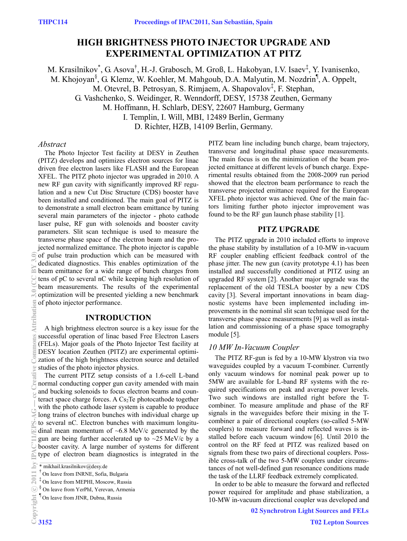# **HIGH BRIGHTNESS PHOTO INJECTOR UPGRADE AND EXPERIMENTAL OPTIMIZATION AT PITZ**

M. Krasilnikov<sup>\*</sup>, G. Asova<sup>†</sup>, H.-J. Grabosch, M. Groß, L. Hakobyan, I.V. Isaev<sup>‡</sup>, Y. Ivanisenko, M. Khojoyan<sup>§</sup>, G. Klemz, W. Koehler, M. Mahgoub, D.A. Malyutin, M. Nozdrin<sup>¶</sup>, A. Oppelt, M. Otevrel, B. Petrosyan, S. Rimjaem, A. Shapovalov<sup>‡</sup>, F. Stephan, G. Vashchenko, S. Weidinger, R. Wenndorff, DESY, 15738 Zeuthen, Germany M. Hoffmann, H. Schlarb, DESY, 22607 Hamburg, Germany I. Templin, I. Will, MBI, 12489 Berlin, Germany D. Richter, HZB, 14109 Berlin, Germany.

# *Abstract*

The Photo Injector Test facility at DESY in Zeuthen (PITZ) develops and optimizes electron sources for linac driven free electron lasers like FLASH and the European XFEL. The PITZ photo injector was upgraded in 2010. A new RF gun cavity with significantly improved RF regulation and a new Cut Disc Structure (CDS) booster have been installed and conditioned. The main goal of PITZ is to demonstrate a small electron beam emittance by tuning several main parameters of the injector - photo cathode laser pulse, RF gun with solenoids and booster cavity parameters. Slit scan technique is used to measure the transverse phase space of the electron beam and the projected normalized emittance. The photo injector is capable  $\widehat{\odot}$  of pulse train production which can be measured with dedicated diagnostics. This enables optimization of the beam emittance for a wide range of bunch charges from tens of pC to several nC while keeping high resolution of beam measurements. The results of the experimental optimization will be presented yielding a new benchmark of photo injector performance.

#### **INTRODUCTION**

A high brightness electron source is a key issue for the successful operation of linac based Free Electron Lasers (FELs). Major goals of the Photo Injector Test facility at DESY location Zeuthen (PITZ) are experimental optimization of the high brightness electron source and detailed studies of the photo injector physics.

The current PITZ setup consists of a 1.6-cell L-band normal conducting copper gun cavity amended with main and bucking solenoids to focus electron beams and counteract space charge forces. A  $Cs<sub>2</sub>Te$  photocathode together with the photo cathode laser system is capable to produce long trains of electron bunches with individual charge up to several nC. Electron bunches with maximum longitudinal mean momentum of  $~6.8$  MeV/c generated by the gun are being further accelerated up to  $\sim$ 25 MeV/c by a booster cavity. A large number of systems for different type of electron beam diagnostics is integrated in the PITZ beam line including bunch charge, beam trajectory, transverse and longitudinal phase space measurements. The main focus is on the minimization of the beam projected emittance at different levels of bunch charge. Experimental results obtained from the 2008-2009 run period showed that the electron beam performance to reach the transverse projected emittance required for the European XFEL photo injector was achieved. One of the main factors limiting further photo injector improvement was found to be the RF gun launch phase stability [1].

# **PITZ UPGRADE**

The PITZ upgrade in 2010 included efforts to improve the phase stability by installation of a 10-MW in-vacuum RF coupler enabling efficient feedback control of the phase jitter. The new gun (cavity prototype 4.1) has been installed and successfully conditioned at PITZ using an upgraded RF system [2]. Another major upgrade was the replacement of the old TESLA booster by a new CDS cavity [3]. Several important innovations in beam diagnostic systems have been implemented including improvements in the nominal slit scan technique used for the transverse phase space measurements [9] as well as installation and commissioning of a phase space tomography module [5].

# *10 MW In-Vacuum Coupler*

The PITZ RF-gun is fed by a 10-MW klystron via two waveguides coupled by a vacuum T-combiner. Currently only vacuum windows for nominal peak power up to 5MW are available for L-band RF systems with the required specifications on peak and average power levels. Two such windows are installed right before the Tcombiner. To measure amplitude and phase of the RF signals in the waveguides before their mixing in the Tcombiner a pair of directional couplers (so-called 5-MW couplers) to measure forward and reflected waves is installed before each vacuum window [6]. Until 2010 the control on the RF feed at PITZ was realized based on signals from these two pairs of directional couplers. Possible cross-talk of the two 5-MW couplers under circumstances of not well-defined gun resonance conditions made the task of the LLRF feedback extremely complicated.

In order to be able to measure the forward and reflected power required for amplitude and phase stabilization, a 10-MW in-vacuum directional coupler was developed and

<sup>\*</sup> mikhail.krasilnikov@desy.de

<sup>†</sup> On leave from INRNE, Sofia, Bulgaria

<sup>‡</sup> On leave from MEPHI, Moscow, Russia

<sup>§</sup> On leave from YerPhI, Yerevan, Armenia

<sup>&</sup>lt;sup>¶</sup> On leave from JINR, Dubna, Russia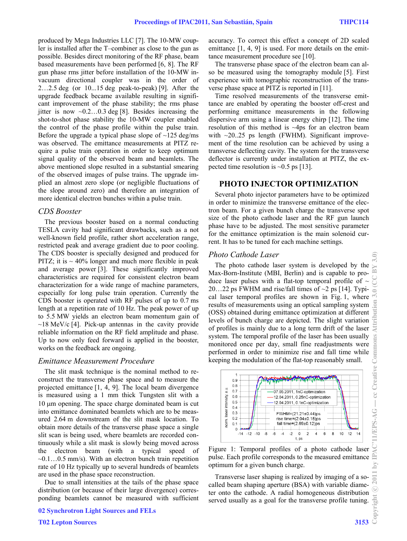produced by Mega Industries LLC [7]. The 10-MW coupler is installed after the T–combiner as close to the gun as possible. Besides direct monitoring of the RF phase, beam based measurements have been performed [6, 8]. The RF gun phase rms jitter before installation of the 10-MW invacuum directional coupler was in the order of 2…2.5 deg (or 10...15 deg peak-to-peak) [9]. After the upgrade feedback became available resulting in significant improvement of the phase stability; the rms phase jitter is now  $\sim 0.2...0.3$  deg [8]. Besides increasing the shot-to-shot phase stability the 10-MW coupler enabled the control of the phase profile within the pulse train. Before the upgrade a typical phase slope of  $\sim$ 125 deg/ms was observed. The emittance measurements at PITZ require a pulse train operation in order to keep optimum signal quality of the observed beam and beamlets. The above mentioned slope resulted in a substantial smearing of the observed images of pulse trains. The upgrade implied an almost zero slope (or negligible fluctuations of the slope around zero) and therefore an integration of more identical electron bunches within a pulse train.

#### *CDS Booster*

The previous booster based on a normal conducting TESLA cavity had significant drawbacks, such as a not well-known field profile, rather short acceleration range, restricted peak and average gradient due to poor cooling. The CDS booster is specially designed and produced for PITZ; it is  $\sim$  40% longer and much more flexible in peak and average power [3]. These significantly improved characteristics are required for consistent electron beam characterization for a wide range of machine parameters, especially for long pulse train operation. Currently the CDS booster is operated with RF pulses of up to 0.7 ms length at a repetition rate of 10 Hz. The peak power of up to 5.5 MW yields an electron beam momentum gain of  $\sim$ 18 MeV/c [4]. Pick-up antennas in the cavity provide reliable information on the RF field amplitude and phase. Up to now only feed forward is applied in the booster, works on the feedback are ongoing.

### *Emittance Measurement Procedure*

The slit mask technique is the nominal method to reconstruct the transverse phase space and to measure the projected emittance [1, 4, 9]. The local beam divergence is measured using a 1 mm thick Tungsten slit with a 10 µm opening. The space charge dominated beam is cut into emittance dominated beamlets which are to be measured 2.64 m downstream of the slit mask location. To obtain more details of the transverse phase space a single slit scan is being used, where beamlets are recorded continuously while a slit mask is slowly being moved across the electron beam (with a typical speed of  $\sim 0.1...0.5$  mm/s). With an electron bunch train repetition rate of 10 Hz typically up to several hundreds of beamlets are used in the phase space reconstruction.

Due to small intensities at the tails of the phase space distribution (or because of their large divergence) corresponding beamlets cannot be measured with sufficient

02 Synchrotron Light Sources and FELs

accuracy. To correct this effect a concept of 2D scaled emittance [1, 4, 9] is used. For more details on the emittance measurement procedure see [10].

The transverse phase space of the electron beam can also be measured using the tomography module [5]. First experience with tomographic reconstruction of the transverse phase space at PITZ is reported in [11].

Time resolved measurements of the transverse emittance are enabled by operating the booster off-crest and performing emittance measurements in the following dispersive arm using a linear energy chirp [12]. The time resolution of this method is ~4ps for an electron beam with  $\sim$ 20..25 ps length (FWHM). Significant improvement of the time resolution can be achieved by using a transverse deflecting cavity. The system for the transverse deflector is currently under installation at PITZ, the expected time resolution is  $\sim 0.5$  ps [13].

#### **PHOTO INJECTOR OPTIMIZATION**

Several photo injector parameters have to be optimized in order to minimize the transverse emittance of the electron beam. For a given bunch charge the transverse spot size of the photo cathode laser and the RF gun launch phase have to be adjusted. The most sensitive parameter for the emittance optimization is the main solenoid current. It has to be tuned for each machine settings.

# *Photo Cathode Laser*

The photo cathode laser system is developed by the Max-Born-Institute (MBI, Berlin) and is capable to produce laser pulses with a flat-top temporal profile of  $\sim$ 20...22 ps FWHM and rise/fall times of  $\sim$ 2 ps [14]. Typical laser temporal profiles are shown in Fig. 1, where results of measurements using an optical sampling system (OSS) obtained during emittance optimization at different levels of bunch charge are depicted. The slight variation of profiles is mainly due to a long term drift of the laser system. The temporal profile of the laser has been usually monitored once per day, small fine readjustments were performed in order to minimize rise and fall time while keeping the modulation of the flat-top reasonably small.



Figure 1: Temporal profiles of a photo cathode laser pulse. Each profile corresponds to the measured emittance optimum for a given bunch charge.

Transverse laser shaping is realized by imaging of a socalled beam shaping aperture (BSA) with variable diameter onto the cathode. A radial homogeneous distribution served usually as a goal for the transverse profile tuning.